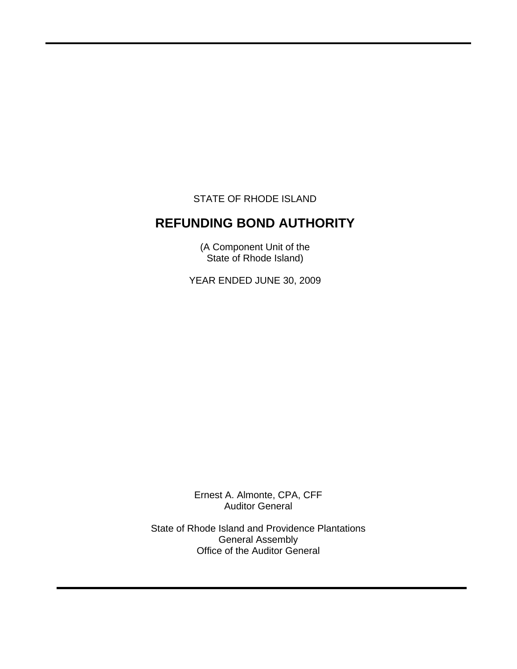STATE OF RHODE ISLAND

 $\overline{a}$ 

# **REFUNDING BOND AUTHORITY**

(A Component Unit of the State of Rhode Island)

YEAR ENDED JUNE 30, 2009

Ernest A. Almonte, CPA, CFF Auditor General

State of Rhode Island and Providence Plantations General Assembly Office of the Auditor General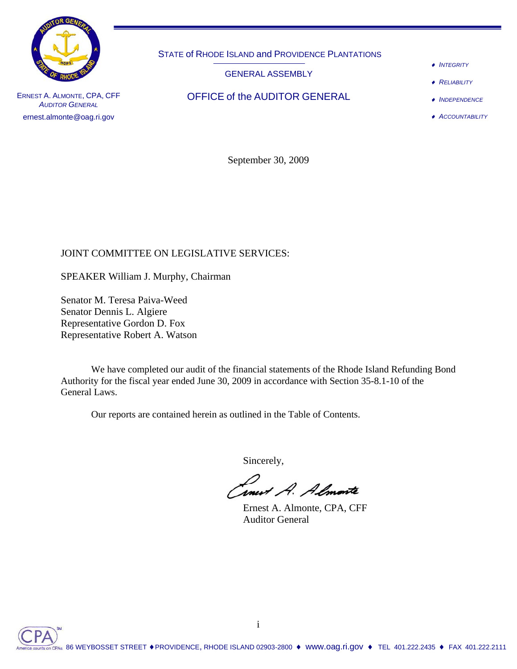

*AUDITOR GENERAL* ernest.almonte@oag.ri.gov STATE of RHODE ISLAND and PROVIDENCE PLANTATIONS

GENERAL ASSEMBLY

ERNEST A. ALMONTE, CPA, CFF **OFFICE of the AUDITOR GENERAL** 

♦ *INTEGRITY*

♦ *RELIABILITY*

♦ *INDEPENDENCE*

♦ *ACCOUNTABILITY*

September 30, 2009

# JOINT COMMITTEE ON LEGISLATIVE SERVICES:

SPEAKER William J. Murphy, Chairman

Senator M. Teresa Paiva-Weed Senator Dennis L. Algiere Representative Gordon D. Fox Representative Robert A. Watson

 We have completed our audit of the financial statements of the Rhode Island Refunding Bond Authority for the fiscal year ended June 30, 2009 in accordance with Section 35-8.1-10 of the General Laws.

Our reports are contained herein as outlined in the Table of Contents.

Sincerely,

Linux A. Almonte

 Ernest A. Almonte, CPA, CFF Auditor General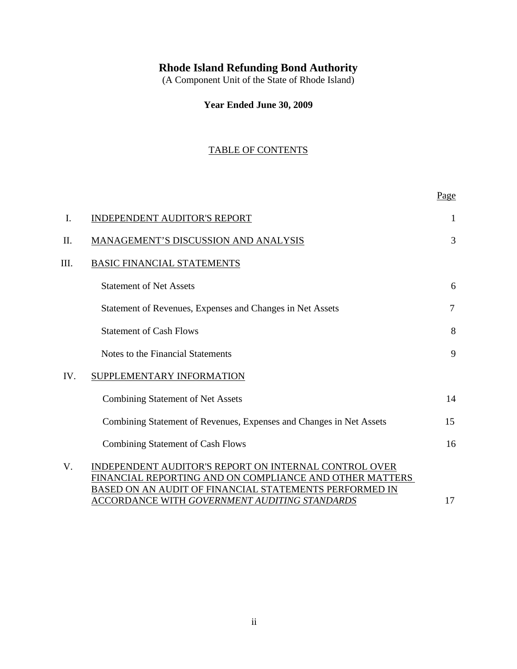# **Rhode Island Refunding Bond Authority**

(A Component Unit of the State of Rhode Island)

**Year Ended June 30, 2009**

# TABLE OF CONTENTS

|      |                                                                                                                                                                            | Page           |
|------|----------------------------------------------------------------------------------------------------------------------------------------------------------------------------|----------------|
| I.   | <b>INDEPENDENT AUDITOR'S REPORT</b>                                                                                                                                        | 1              |
| Π.   | MANAGEMENT'S DISCUSSION AND ANALYSIS                                                                                                                                       | 3              |
| III. | <b>BASIC FINANCIAL STATEMENTS</b>                                                                                                                                          |                |
|      | <b>Statement of Net Assets</b>                                                                                                                                             | 6              |
|      | Statement of Revenues, Expenses and Changes in Net Assets                                                                                                                  | $\overline{7}$ |
|      | <b>Statement of Cash Flows</b>                                                                                                                                             | 8              |
|      | Notes to the Financial Statements                                                                                                                                          | 9              |
| IV.  | SUPPLEMENTARY INFORMATION                                                                                                                                                  |                |
|      | <b>Combining Statement of Net Assets</b>                                                                                                                                   | 14             |
|      | Combining Statement of Revenues, Expenses and Changes in Net Assets                                                                                                        | 15             |
|      | <b>Combining Statement of Cash Flows</b>                                                                                                                                   | 16             |
| V.   | INDEPENDENT AUDITOR'S REPORT ON INTERNAL CONTROL OVER<br>FINANCIAL REPORTING AND ON COMPLIANCE AND OTHER MATTERS<br>BASED ON AN AUDIT OF FINANCIAL STATEMENTS PERFORMED IN |                |
|      | <u>ACCORDANCE WITH GOVERNMENT AUDITING STANDARDS</u>                                                                                                                       | 17             |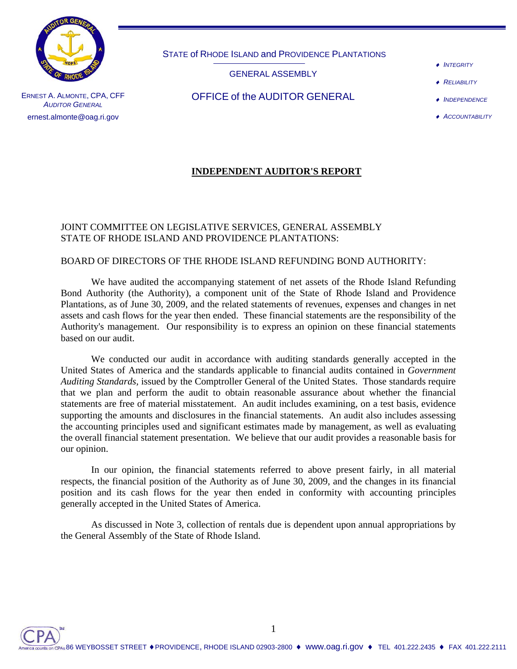

STATE of RHODE ISLAND and PROVIDENCE PLANTATIONS

GENERAL ASSEMBLY

♦ *INTEGRITY*

**RELIABILITY** 

ERNEST A. ALMONTE, CPA, CFF *AUDITOR GENERAL* ernest.almonte@oag.ri.gov

OFFICE of the AUDITOR GENERAL

♦ *ACCOUNTABILITY*

♦ *INDEPENDENCE*

# **INDEPENDENT AUDITOR'S REPORT**

## JOINT COMMITTEE ON LEGISLATIVE SERVICES, GENERAL ASSEMBLY STATE OF RHODE ISLAND AND PROVIDENCE PLANTATIONS:

## BOARD OF DIRECTORS OF THE RHODE ISLAND REFUNDING BOND AUTHORITY:

We have audited the accompanying statement of net assets of the Rhode Island Refunding Bond Authority (the Authority), a component unit of the State of Rhode Island and Providence Plantations, as of June 30, 2009, and the related statements of revenues, expenses and changes in net assets and cash flows for the year then ended. These financial statements are the responsibility of the Authority's management. Our responsibility is to express an opinion on these financial statements based on our audit.

We conducted our audit in accordance with auditing standards generally accepted in the United States of America and the standards applicable to financial audits contained in *Government Auditing Standards,* issued by the Comptroller General of the United States. Those standards require that we plan and perform the audit to obtain reasonable assurance about whether the financial statements are free of material misstatement. An audit includes examining, on a test basis, evidence supporting the amounts and disclosures in the financial statements. An audit also includes assessing the accounting principles used and significant estimates made by management, as well as evaluating the overall financial statement presentation. We believe that our audit provides a reasonable basis for our opinion.

In our opinion, the financial statements referred to above present fairly, in all material respects, the financial position of the Authority as of June 30, 2009, and the changes in its financial position and its cash flows for the year then ended in conformity with accounting principles generally accepted in the United States of America.

As discussed in Note 3, collection of rentals due is dependent upon annual appropriations by the General Assembly of the State of Rhode Island.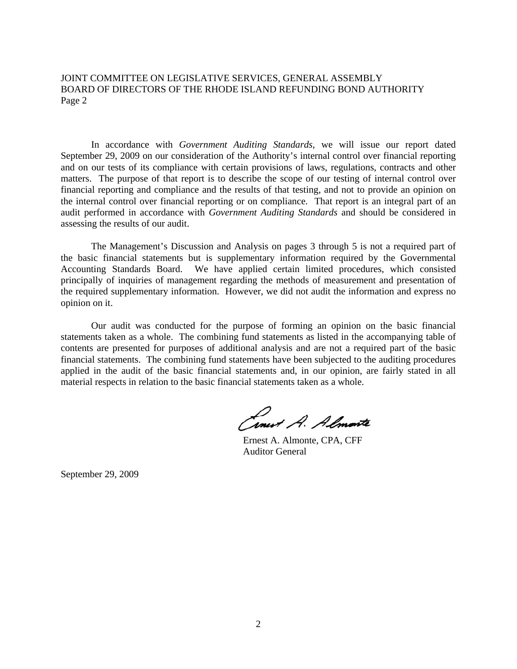JOINT COMMITTEE ON LEGISLATIVE SERVICES, GENERAL ASSEMBLY BOARD OF DIRECTORS OF THE RHODE ISLAND REFUNDING BOND AUTHORITY Page 2

In accordance with *Government Auditing Standards*, we will issue our report dated September 29, 2009 on our consideration of the Authority's internal control over financial reporting and on our tests of its compliance with certain provisions of laws, regulations, contracts and other matters. The purpose of that report is to describe the scope of our testing of internal control over financial reporting and compliance and the results of that testing, and not to provide an opinion on the internal control over financial reporting or on compliance. That report is an integral part of an audit performed in accordance with *Government Auditing Standards* and should be considered in assessing the results of our audit.

The Management's Discussion and Analysis on pages 3 through 5 is not a required part of the basic financial statements but is supplementary information required by the Governmental Accounting Standards Board. We have applied certain limited procedures, which consisted principally of inquiries of management regarding the methods of measurement and presentation of the required supplementary information. However, we did not audit the information and express no opinion on it.

Our audit was conducted for the purpose of forming an opinion on the basic financial statements taken as a whole. The combining fund statements as listed in the accompanying table of contents are presented for purposes of additional analysis and are not a required part of the basic financial statements. The combining fund statements have been subjected to the auditing procedures applied in the audit of the basic financial statements and, in our opinion, are fairly stated in all material respects in relation to the basic financial statements taken as a whole.

Cinet A. Almonte

 Ernest A. Almonte, CPA, CFF Auditor General

September 29, 2009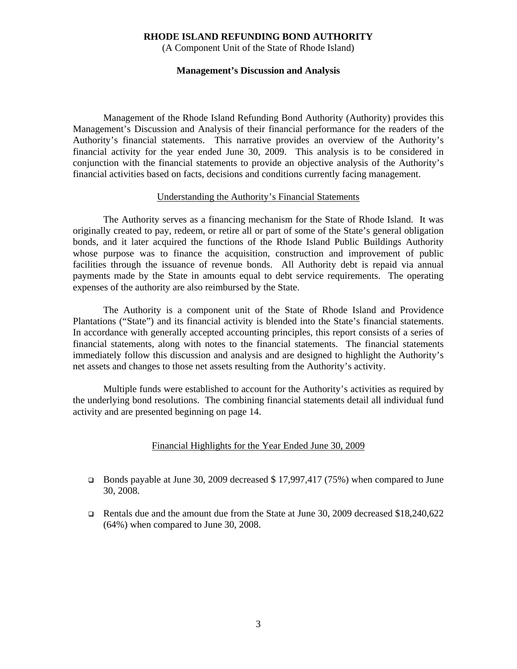(A Component Unit of the State of Rhode Island)

#### **Management's Discussion and Analysis**

Management of the Rhode Island Refunding Bond Authority (Authority) provides this Management's Discussion and Analysis of their financial performance for the readers of the Authority's financial statements. This narrative provides an overview of the Authority's financial activity for the year ended June 30, 2009. This analysis is to be considered in conjunction with the financial statements to provide an objective analysis of the Authority's financial activities based on facts, decisions and conditions currently facing management.

#### Understanding the Authority's Financial Statements

The Authority serves as a financing mechanism for the State of Rhode Island. It was originally created to pay, redeem, or retire all or part of some of the State's general obligation bonds, and it later acquired the functions of the Rhode Island Public Buildings Authority whose purpose was to finance the acquisition, construction and improvement of public facilities through the issuance of revenue bonds. All Authority debt is repaid via annual payments made by the State in amounts equal to debt service requirements. The operating expenses of the authority are also reimbursed by the State.

 The Authority is a component unit of the State of Rhode Island and Providence Plantations ("State") and its financial activity is blended into the State's financial statements. In accordance with generally accepted accounting principles, this report consists of a series of financial statements, along with notes to the financial statements. The financial statements immediately follow this discussion and analysis and are designed to highlight the Authority's net assets and changes to those net assets resulting from the Authority's activity.

 Multiple funds were established to account for the Authority's activities as required by the underlying bond resolutions. The combining financial statements detail all individual fund activity and are presented beginning on page 14.

#### Financial Highlights for the Year Ended June 30, 2009

- Bonds payable at June 30, 2009 decreased \$ 17,997,417 (75%) when compared to June 30, 2008.
- Rentals due and the amount due from the State at June 30, 2009 decreased \$18,240,622 (64%) when compared to June 30, 2008.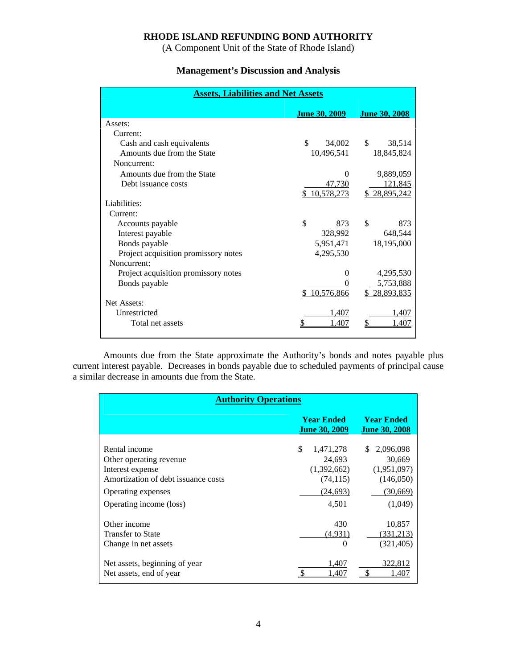(A Component Unit of the State of Rhode Island)

# **Management's Discussion and Analysis**

| <b>Assets, Liabilities and Net Assets</b> |                      |                      |  |  |  |  |
|-------------------------------------------|----------------------|----------------------|--|--|--|--|
|                                           | <b>June 30, 2009</b> | <u>June 30, 2008</u> |  |  |  |  |
| Assets:                                   |                      |                      |  |  |  |  |
| Current:                                  |                      |                      |  |  |  |  |
| Cash and cash equivalents                 | \$<br>34,002         | \$<br>38,514         |  |  |  |  |
| Amounts due from the State                | 10,496,541           | 18,845,824           |  |  |  |  |
| Noncurrent:                               |                      |                      |  |  |  |  |
| Amounts due from the State                | 0                    | 9,889,059            |  |  |  |  |
| Debt issuance costs                       | 47,730               | 121,845              |  |  |  |  |
|                                           | \$10,578,273         | \$28,895,242         |  |  |  |  |
| Liabilities:                              |                      |                      |  |  |  |  |
| Current:                                  |                      |                      |  |  |  |  |
| Accounts payable                          | \$<br>873            | \$<br>873            |  |  |  |  |
| Interest payable                          | 328,992              | 648,544              |  |  |  |  |
| Bonds payable                             | 5,951,471            | 18,195,000           |  |  |  |  |
| Project acquisition promissory notes      | 4,295,530            |                      |  |  |  |  |
| Noncurrent:                               |                      |                      |  |  |  |  |
| Project acquisition promissory notes      | 0                    | 4,295,530            |  |  |  |  |
| Bonds payable                             |                      | 5,753,888            |  |  |  |  |
|                                           | \$10,576,866         | \$28,893,835         |  |  |  |  |
| Net Assets:                               |                      |                      |  |  |  |  |
| Unrestricted                              | 1,407                | 1,407                |  |  |  |  |
| Total net assets                          | .407                 | .407                 |  |  |  |  |
|                                           |                      |                      |  |  |  |  |

 Amounts due from the State approximate the Authority's bonds and notes payable plus current interest payable. Decreases in bonds payable due to scheduled payments of principal cause a similar decrease in amounts due from the State.

| <b>Authority Operations</b>                                                                                                                          |                                                                             |                                                                               |  |  |  |
|------------------------------------------------------------------------------------------------------------------------------------------------------|-----------------------------------------------------------------------------|-------------------------------------------------------------------------------|--|--|--|
|                                                                                                                                                      | <b>Year Ended</b><br><b>June 30, 2009</b>                                   | <b>Year Ended</b><br><b>June 30, 2008</b>                                     |  |  |  |
| Rental income<br>Other operating revenue<br>Interest expense<br>Amortization of debt issuance costs<br>Operating expenses<br>Operating income (loss) | \$<br>1,471,278<br>24,693<br>(1,392,662)<br>(74, 115)<br>(24, 693)<br>4,501 | \$.<br>2,096,098<br>30,669<br>(1,951,097)<br>(146,050)<br>(30,669)<br>(1,049) |  |  |  |
| Other income<br>Transfer to State<br>Change in net assets<br>Net assets, beginning of year<br>Net assets, end of year                                | 430<br>(4,931)<br>$\Omega$<br>1,407<br>1.407                                | 10,857<br>(331,213)<br>(321, 405)<br>322,812<br>1.407                         |  |  |  |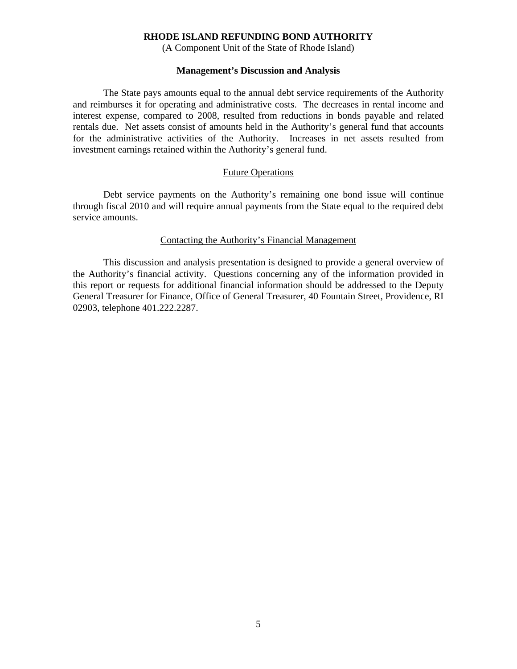(A Component Unit of the State of Rhode Island)

#### **Management's Discussion and Analysis**

 The State pays amounts equal to the annual debt service requirements of the Authority and reimburses it for operating and administrative costs. The decreases in rental income and interest expense, compared to 2008, resulted from reductions in bonds payable and related rentals due. Net assets consist of amounts held in the Authority's general fund that accounts for the administrative activities of the Authority. Increases in net assets resulted from investment earnings retained within the Authority's general fund.

#### Future Operations

 Debt service payments on the Authority's remaining one bond issue will continue through fiscal 2010 and will require annual payments from the State equal to the required debt service amounts.

#### Contacting the Authority's Financial Management

 This discussion and analysis presentation is designed to provide a general overview of the Authority's financial activity. Questions concerning any of the information provided in this report or requests for additional financial information should be addressed to the Deputy General Treasurer for Finance, Office of General Treasurer, 40 Fountain Street, Providence, RI 02903, telephone 401.222.2287.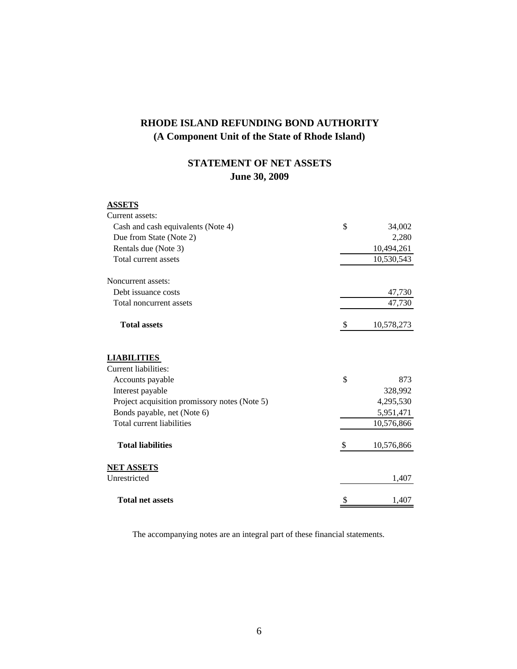# **STATEMENT OF NET ASSETS June 30, 2009**

# **ASSETS**

| Current assets:                               |                           |            |
|-----------------------------------------------|---------------------------|------------|
| Cash and cash equivalents (Note 4)            | \$                        | 34,002     |
| Due from State (Note 2)                       |                           | 2,280      |
| Rentals due (Note 3)                          |                           | 10,494,261 |
| Total current assets                          |                           | 10,530,543 |
| Noncurrent assets:                            |                           |            |
| Debt issuance costs                           |                           | 47,730     |
| Total noncurrent assets                       |                           | 47,730     |
| <b>Total assets</b>                           | $\boldsymbol{\mathsf{S}}$ | 10,578,273 |
| <b>LIABILITIES</b><br>Current liabilities:    |                           |            |
| Accounts payable                              | \$                        | 873        |
| Interest payable                              |                           | 328,992    |
| Project acquisition promissory notes (Note 5) |                           | 4,295,530  |
| Bonds payable, net (Note 6)                   |                           | 5,951,471  |
| Total current liabilities                     |                           | 10,576,866 |
| <b>Total liabilities</b>                      | \$                        | 10,576,866 |
| <b>NET ASSETS</b>                             |                           |            |
| Unrestricted                                  |                           | 1,407      |
| <b>Total net assets</b>                       |                           | 1,407      |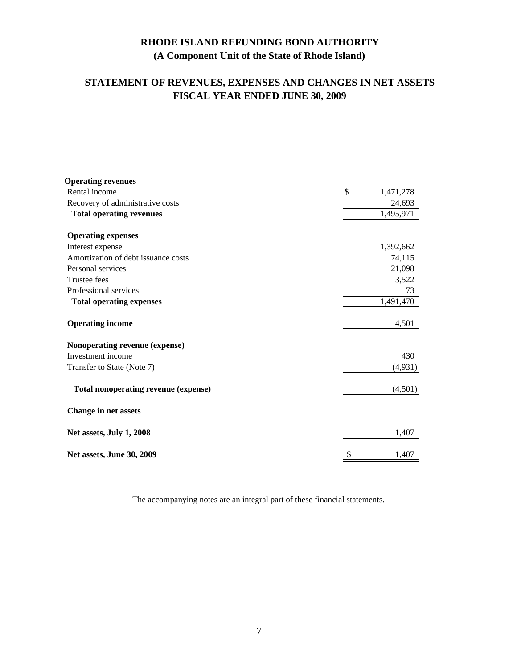# **STATEMENT OF REVENUES, EXPENSES AND CHANGES IN NET ASSETS FISCAL YEAR ENDED JUNE 30, 2009**

| <b>Operating revenues</b>            |                 |
|--------------------------------------|-----------------|
| Rental income                        | \$<br>1,471,278 |
| Recovery of administrative costs     | 24,693          |
| <b>Total operating revenues</b>      | 1,495,971       |
| <b>Operating expenses</b>            |                 |
| Interest expense                     | 1,392,662       |
| Amortization of debt issuance costs  | 74,115          |
| Personal services                    | 21,098          |
| Trustee fees                         | 3,522           |
| Professional services                | 73              |
| <b>Total operating expenses</b>      | 1,491,470       |
| <b>Operating income</b>              | 4,501           |
| Nonoperating revenue (expense)       |                 |
| Investment income                    | 430             |
| Transfer to State (Note 7)           | (4, 931)        |
| Total nonoperating revenue (expense) | (4,501)         |
| <b>Change in net assets</b>          |                 |
| Net assets, July 1, 2008             | 1,407           |
| Net assets, June 30, 2009            | \$<br>1,407     |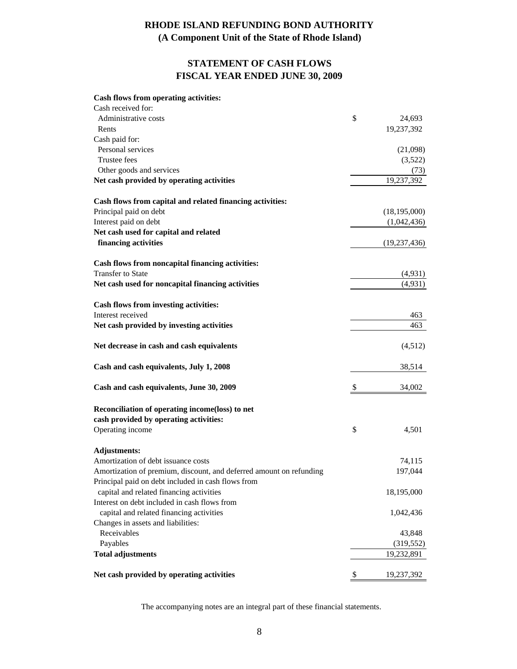# **(A Component Unit of the State of Rhode Island)**

# **STATEMENT OF CASH FLOWS FISCAL YEAR ENDED JUNE 30, 2009**

#### **Cash flows from operating activities:**

| Cash received for:                                                  |                  |
|---------------------------------------------------------------------|------------------|
| Administrative costs                                                | \$<br>24,693     |
| Rents                                                               | 19,237,392       |
| Cash paid for:                                                      |                  |
| Personal services                                                   | (21,098)         |
| Trustee fees                                                        | (3,522)          |
| Other goods and services                                            | (73)             |
| Net cash provided by operating activities                           | 19,237,392       |
| Cash flows from capital and related financing activities:           |                  |
| Principal paid on debt                                              | (18, 195, 000)   |
| Interest paid on debt                                               | (1,042,436)      |
| Net cash used for capital and related                               |                  |
| financing activities                                                | (19, 237, 436)   |
| Cash flows from noncapital financing activities:                    |                  |
| <b>Transfer to State</b>                                            | (4,931)          |
| Net cash used for noncapital financing activities                   | (4,931)          |
| <b>Cash flows from investing activities:</b>                        |                  |
| Interest received                                                   | 463              |
| Net cash provided by investing activities                           | 463              |
| Net decrease in cash and cash equivalents                           | (4,512)          |
| Cash and cash equivalents, July 1, 2008                             | 38,514           |
| Cash and cash equivalents, June 30, 2009                            | \$<br>34,002     |
| Reconciliation of operating income(loss) to net                     |                  |
| cash provided by operating activities:                              |                  |
| Operating income                                                    | \$<br>4,501      |
| <b>Adjustments:</b>                                                 |                  |
| Amortization of debt issuance costs                                 | 74,115           |
| Amortization of premium, discount, and deferred amount on refunding | 197,044          |
| Principal paid on debt included in cash flows from                  |                  |
| capital and related financing activities                            | 18,195,000       |
| Interest on debt included in cash flows from                        |                  |
| capital and related financing activities                            | 1,042,436        |
| Changes in assets and liabilities:                                  |                  |
| Receivables                                                         | 43,848           |
| Payables                                                            | (319, 552)       |
| <b>Total adjustments</b>                                            | 19,232,891       |
| Net cash provided by operating activities                           | \$<br>19,237,392 |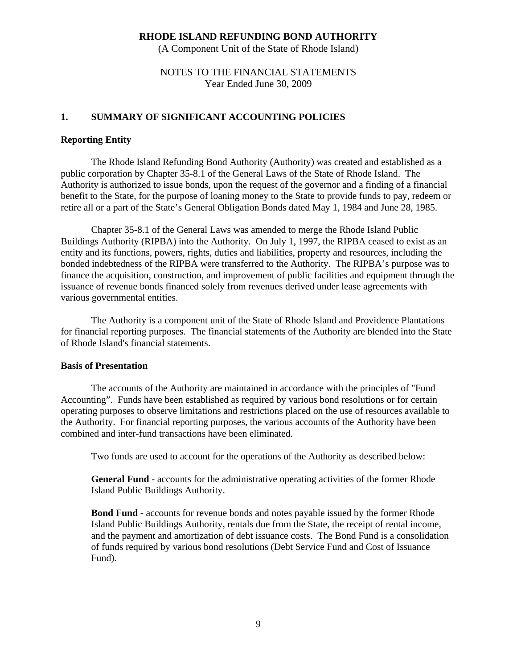(A Component Unit of the State of Rhode Island)

# NOTES TO THE FINANCIAL STATEMENTS Year Ended June 30, 2009

## **1. SUMMARY OF SIGNIFICANT ACCOUNTING POLICIES**

## **Reporting Entity**

The Rhode Island Refunding Bond Authority (Authority) was created and established as a public corporation by Chapter 35-8.1 of the General Laws of the State of Rhode Island. The Authority is authorized to issue bonds, upon the request of the governor and a finding of a financial benefit to the State, for the purpose of loaning money to the State to provide funds to pay, redeem or retire all or a part of the State's General Obligation Bonds dated May 1, 1984 and June 28, 1985.

Chapter 35-8.1 of the General Laws was amended to merge the Rhode Island Public Buildings Authority (RIPBA) into the Authority. On July 1, 1997, the RIPBA ceased to exist as an entity and its functions, powers, rights, duties and liabilities, property and resources, including the bonded indebtedness of the RIPBA were transferred to the Authority. The RIPBA's purpose was to finance the acquisition, construction, and improvement of public facilities and equipment through the issuance of revenue bonds financed solely from revenues derived under lease agreements with various governmental entities.

 The Authority is a component unit of the State of Rhode Island and Providence Plantations for financial reporting purposes. The financial statements of the Authority are blended into the State of Rhode Island's financial statements.

### **Basis of Presentation**

The accounts of the Authority are maintained in accordance with the principles of "Fund Accounting". Funds have been established as required by various bond resolutions or for certain operating purposes to observe limitations and restrictions placed on the use of resources available to the Authority. For financial reporting purposes, the various accounts of the Authority have been combined and inter-fund transactions have been eliminated.

Two funds are used to account for the operations of the Authority as described below:

 **General Fund** - accounts for the administrative operating activities of the former Rhode Island Public Buildings Authority.

 **Bond Fund** - accounts for revenue bonds and notes payable issued by the former Rhode Island Public Buildings Authority, rentals due from the State, the receipt of rental income, and the payment and amortization of debt issuance costs. The Bond Fund is a consolidation of funds required by various bond resolutions (Debt Service Fund and Cost of Issuance Fund).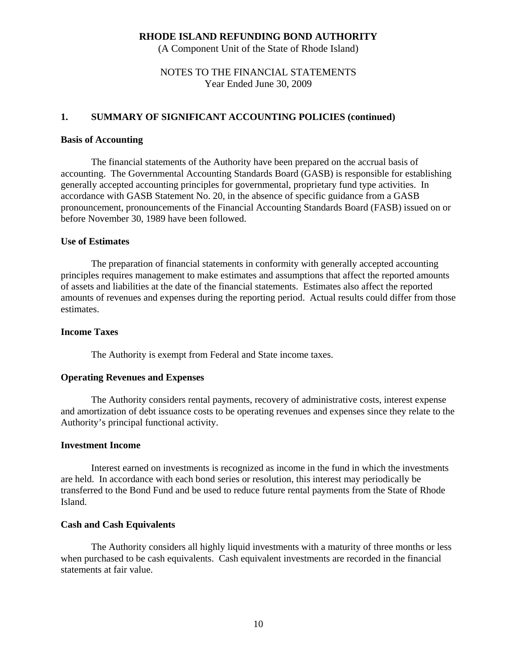(A Component Unit of the State of Rhode Island)

# NOTES TO THE FINANCIAL STATEMENTS Year Ended June 30, 2009

## **1. SUMMARY OF SIGNIFICANT ACCOUNTING POLICIES (continued)**

#### **Basis of Accounting**

The financial statements of the Authority have been prepared on the accrual basis of accounting. The Governmental Accounting Standards Board (GASB) is responsible for establishing generally accepted accounting principles for governmental, proprietary fund type activities. In accordance with GASB Statement No. 20, in the absence of specific guidance from a GASB pronouncement, pronouncements of the Financial Accounting Standards Board (FASB) issued on or before November 30, 1989 have been followed.

### **Use of Estimates**

 The preparation of financial statements in conformity with generally accepted accounting principles requires management to make estimates and assumptions that affect the reported amounts of assets and liabilities at the date of the financial statements. Estimates also affect the reported amounts of revenues and expenses during the reporting period. Actual results could differ from those estimates.

## **Income Taxes**

The Authority is exempt from Federal and State income taxes.

#### **Operating Revenues and Expenses**

The Authority considers rental payments, recovery of administrative costs, interest expense and amortization of debt issuance costs to be operating revenues and expenses since they relate to the Authority's principal functional activity.

#### **Investment Income**

Interest earned on investments is recognized as income in the fund in which the investments are held. In accordance with each bond series or resolution, this interest may periodically be transferred to the Bond Fund and be used to reduce future rental payments from the State of Rhode Island.

### **Cash and Cash Equivalents**

 The Authority considers all highly liquid investments with a maturity of three months or less when purchased to be cash equivalents. Cash equivalent investments are recorded in the financial statements at fair value.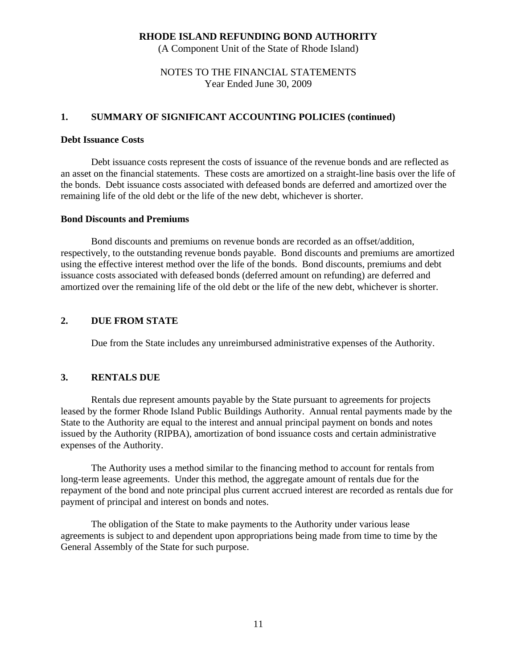(A Component Unit of the State of Rhode Island)

# NOTES TO THE FINANCIAL STATEMENTS Year Ended June 30, 2009

## **1. SUMMARY OF SIGNIFICANT ACCOUNTING POLICIES (continued)**

#### **Debt Issuance Costs**

 Debt issuance costs represent the costs of issuance of the revenue bonds and are reflected as an asset on the financial statements. These costs are amortized on a straight-line basis over the life of the bonds. Debt issuance costs associated with defeased bonds are deferred and amortized over the remaining life of the old debt or the life of the new debt, whichever is shorter.

#### **Bond Discounts and Premiums**

 Bond discounts and premiums on revenue bonds are recorded as an offset/addition, respectively, to the outstanding revenue bonds payable. Bond discounts and premiums are amortized using the effective interest method over the life of the bonds. Bond discounts, premiums and debt issuance costs associated with defeased bonds (deferred amount on refunding) are deferred and amortized over the remaining life of the old debt or the life of the new debt, whichever is shorter.

## **2. DUE FROM STATE**

Due from the State includes any unreimbursed administrative expenses of the Authority.

## **3. RENTALS DUE**

Rentals due represent amounts payable by the State pursuant to agreements for projects leased by the former Rhode Island Public Buildings Authority. Annual rental payments made by the State to the Authority are equal to the interest and annual principal payment on bonds and notes issued by the Authority (RIPBA), amortization of bond issuance costs and certain administrative expenses of the Authority.

The Authority uses a method similar to the financing method to account for rentals from long-term lease agreements. Under this method, the aggregate amount of rentals due for the repayment of the bond and note principal plus current accrued interest are recorded as rentals due for payment of principal and interest on bonds and notes.

The obligation of the State to make payments to the Authority under various lease agreements is subject to and dependent upon appropriations being made from time to time by the General Assembly of the State for such purpose.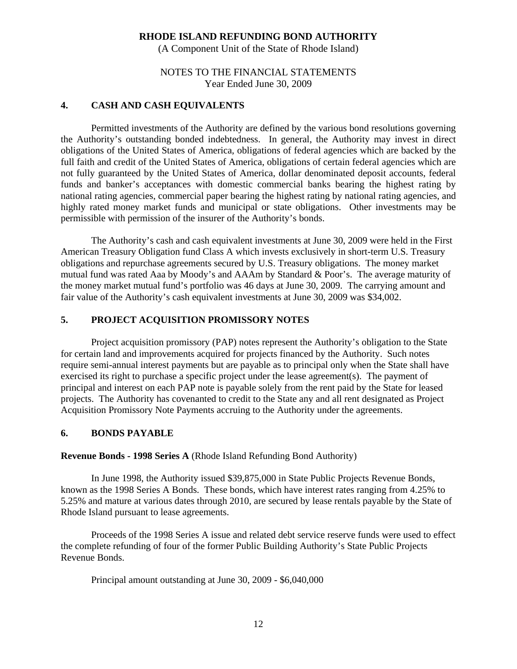(A Component Unit of the State of Rhode Island)

# NOTES TO THE FINANCIAL STATEMENTS Year Ended June 30, 2009

## **4. CASH AND CASH EQUIVALENTS**

Permitted investments of the Authority are defined by the various bond resolutions governing the Authority's outstanding bonded indebtedness. In general, the Authority may invest in direct obligations of the United States of America, obligations of federal agencies which are backed by the full faith and credit of the United States of America, obligations of certain federal agencies which are not fully guaranteed by the United States of America, dollar denominated deposit accounts, federal funds and banker's acceptances with domestic commercial banks bearing the highest rating by national rating agencies, commercial paper bearing the highest rating by national rating agencies, and highly rated money market funds and municipal or state obligations. Other investments may be permissible with permission of the insurer of the Authority's bonds.

The Authority's cash and cash equivalent investments at June 30, 2009 were held in the First American Treasury Obligation fund Class A which invests exclusively in short-term U.S. Treasury obligations and repurchase agreements secured by U.S. Treasury obligations. The money market mutual fund was rated Aaa by Moody's and AAAm by Standard & Poor's. The average maturity of the money market mutual fund's portfolio was 46 days at June 30, 2009. The carrying amount and fair value of the Authority's cash equivalent investments at June 30, 2009 was \$34,002.

## **5. PROJECT ACQUISITION PROMISSORY NOTES**

 Project acquisition promissory (PAP) notes represent the Authority's obligation to the State for certain land and improvements acquired for projects financed by the Authority. Such notes require semi-annual interest payments but are payable as to principal only when the State shall have exercised its right to purchase a specific project under the lease agreement(s). The payment of principal and interest on each PAP note is payable solely from the rent paid by the State for leased projects. The Authority has covenanted to credit to the State any and all rent designated as Project Acquisition Promissory Note Payments accruing to the Authority under the agreements.

### **6. BONDS PAYABLE**

**Revenue Bonds - 1998 Series A** (Rhode Island Refunding Bond Authority)

 In June 1998, the Authority issued \$39,875,000 in State Public Projects Revenue Bonds, known as the 1998 Series A Bonds. These bonds, which have interest rates ranging from 4.25% to 5.25% and mature at various dates through 2010, are secured by lease rentals payable by the State of Rhode Island pursuant to lease agreements.

 Proceeds of the 1998 Series A issue and related debt service reserve funds were used to effect the complete refunding of four of the former Public Building Authority's State Public Projects Revenue Bonds.

Principal amount outstanding at June 30, 2009 - \$6,040,000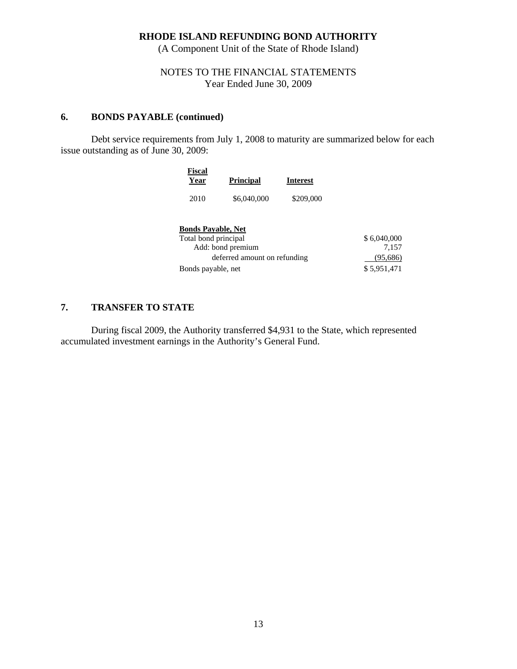(A Component Unit of the State of Rhode Island)

# NOTES TO THE FINANCIAL STATEMENTS Year Ended June 30, 2009

## **6. BONDS PAYABLE (continued)**

Debt service requirements from July 1, 2008 to maturity are summarized below for each issue outstanding as of June 30, 2009:

| <b>Fiscal</b>             |                              |           |             |
|---------------------------|------------------------------|-----------|-------------|
| Year                      | <b>Principal</b>             | Interest  |             |
| 2010                      | \$6,040,000                  | \$209,000 |             |
| <b>Bonds Pavable, Net</b> |                              |           |             |
| Total bond principal      |                              |           | \$6,040,000 |
|                           | Add: bond premium            |           | 7.157       |
|                           | deferred amount on refunding |           | (95,686)    |
| Bonds payable, net        |                              |           | \$5,951,471 |

# **7. TRANSFER TO STATE**

During fiscal 2009, the Authority transferred \$4,931 to the State, which represented accumulated investment earnings in the Authority's General Fund.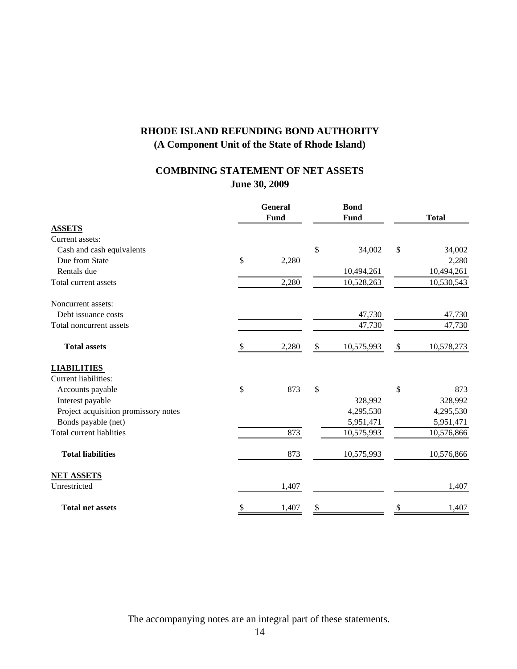# **June 30, 2009 COMBINING STATEMENT OF NET ASSETS**

|                                      | <b>General</b><br><b>Bond</b><br>Fund<br>Fund |       |    | <b>Total</b> |               |            |
|--------------------------------------|-----------------------------------------------|-------|----|--------------|---------------|------------|
| <b>ASSETS</b>                        |                                               |       |    |              |               |            |
| Current assets:                      |                                               |       |    |              |               |            |
| Cash and cash equivalents            |                                               |       | \$ | 34,002       | $\mathcal{S}$ | 34,002     |
| Due from State                       | \$                                            | 2,280 |    |              |               | 2,280      |
| Rentals due                          |                                               |       |    | 10,494,261   |               | 10,494,261 |
| Total current assets                 |                                               | 2,280 |    | 10,528,263   |               | 10,530,543 |
| Noncurrent assets:                   |                                               |       |    |              |               |            |
| Debt issuance costs                  |                                               |       |    | 47,730       |               | 47,730     |
| Total noncurrent assets              |                                               |       |    | 47,730       |               | 47,730     |
| <b>Total assets</b>                  | \$                                            | 2,280 | \$ | 10,575,993   | $\$$          | 10,578,273 |
| <b>LIABILITIES</b>                   |                                               |       |    |              |               |            |
| Current liabilities:                 |                                               |       |    |              |               |            |
| Accounts payable                     | \$                                            | 873   | \$ |              | \$            | 873        |
| Interest payable                     |                                               |       |    | 328,992      |               | 328,992    |
| Project acquisition promissory notes |                                               |       |    | 4,295,530    |               | 4,295,530  |
| Bonds payable (net)                  |                                               |       |    | 5,951,471    |               | 5,951,471  |
| <b>Total current liablities</b>      |                                               | 873   |    | 10,575,993   |               | 10,576,866 |
| <b>Total liabilities</b>             |                                               | 873   |    | 10,575,993   |               | 10,576,866 |
| <b>NET ASSETS</b>                    |                                               |       |    |              |               |            |
| Unrestricted                         |                                               | 1,407 |    |              |               | 1,407      |
| <b>Total net assets</b>              | \$                                            | 1,407 | \$ |              | \$            | 1,407      |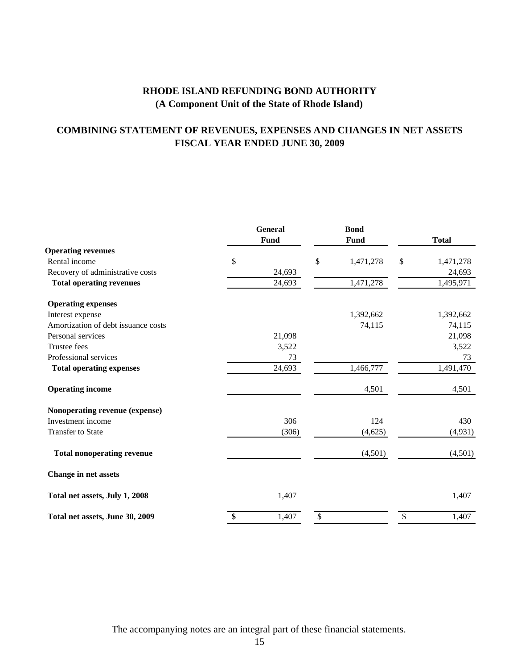# **COMBINING STATEMENT OF REVENUES, EXPENSES AND CHANGES IN NET ASSETS FISCAL YEAR ENDED JUNE 30, 2009**

|                                     | <b>General</b><br>Fund | <b>Bond</b><br>Fund | <b>Total</b>    |
|-------------------------------------|------------------------|---------------------|-----------------|
| <b>Operating revenues</b>           |                        |                     |                 |
| Rental income                       | \$                     | \$<br>1,471,278     | \$<br>1,471,278 |
| Recovery of administrative costs    | 24,693                 |                     | 24,693          |
| <b>Total operating revenues</b>     | 24,693                 | 1,471,278           | 1,495,971       |
| <b>Operating expenses</b>           |                        |                     |                 |
| Interest expense                    |                        | 1,392,662           | 1,392,662       |
| Amortization of debt issuance costs |                        | 74,115              | 74,115          |
| Personal services                   | 21,098                 |                     | 21,098          |
| <b>Trustee fees</b>                 | 3,522                  |                     | 3,522           |
| Professional services               | 73                     |                     | 73              |
| <b>Total operating expenses</b>     | 24,693                 | 1,466,777           | 1,491,470       |
| <b>Operating income</b>             |                        | 4,501               | 4,501           |
| Nonoperating revenue (expense)      |                        |                     |                 |
| Investment income                   | 306                    | 124                 | 430             |
| <b>Transfer to State</b>            | (306)                  | (4,625)             | (4, 931)        |
| <b>Total nonoperating revenue</b>   |                        | (4,501)             | (4,501)         |
| Change in net assets                |                        |                     |                 |
| Total net assets, July 1, 2008      | 1,407                  |                     | 1,407           |
| Total net assets, June 30, 2009     | \$<br>1,407            | \$                  | \$<br>1,407     |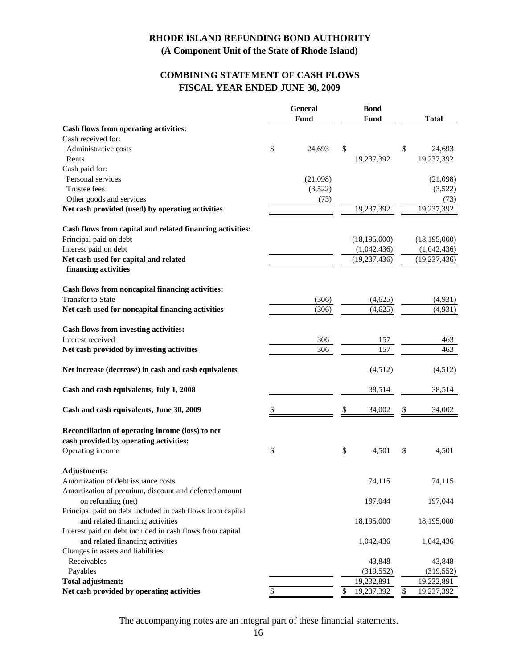# **FISCAL YEAR ENDED JUNE 30, 2009 COMBINING STATEMENT OF CASH FLOWS**

|                                                                             | General      | <b>Bond</b>      |                 |                |
|-----------------------------------------------------------------------------|--------------|------------------|-----------------|----------------|
|                                                                             | Fund         | <b>Fund</b>      |                 | <b>Total</b>   |
| <b>Cash flows from operating activities:</b>                                |              |                  |                 |                |
| Cash received for:                                                          |              |                  |                 |                |
| Administrative costs                                                        | \$<br>24,693 | \$               | \$              | 24,693         |
| Rents                                                                       |              | 19,237,392       |                 | 19,237,392     |
| Cash paid for:                                                              |              |                  |                 |                |
| Personal services                                                           | (21,098)     |                  |                 | (21,098)       |
| <b>Trustee fees</b>                                                         | (3,522)      |                  |                 | (3,522)        |
| Other goods and services                                                    | (73)         |                  |                 | (73)           |
| Net cash provided (used) by operating activities                            |              | 19,237,392       |                 | 19,237,392     |
| Cash flows from capital and related financing activities:                   |              |                  |                 |                |
| Principal paid on debt                                                      |              | (18, 195, 000)   |                 | (18, 195, 000) |
| Interest paid on debt                                                       |              | (1,042,436)      |                 | (1,042,436)    |
| Net cash used for capital and related<br>financing activities               |              | (19, 237, 436)   |                 | (19, 237, 436) |
|                                                                             |              |                  |                 |                |
| Cash flows from noncapital financing activities:                            |              |                  |                 |                |
| <b>Transfer to State</b>                                                    | (306)        | (4,625)          |                 | (4,931)        |
| Net cash used for noncapital financing activities                           | (306)        | (4,625)          |                 | (4,931)        |
| Cash flows from investing activities:                                       |              |                  |                 |                |
| Interest received                                                           | 306          | 157              |                 | 463            |
| Net cash provided by investing activities                                   | 306          | 157              |                 | 463            |
| Net increase (decrease) in cash and cash equivalents                        |              | (4,512)          |                 | (4,512)        |
| Cash and cash equivalents, July 1, 2008                                     |              | 38,514           |                 | 38,514         |
| Cash and cash equivalents, June 30, 2009                                    | \$           | \$<br>34,002     | \$              | 34,002         |
| Reconciliation of operating income (loss) to net                            |              |                  |                 |                |
| cash provided by operating activities:                                      |              |                  |                 |                |
| Operating income                                                            | \$           | \$<br>4,501      | \$              | 4,501          |
| <b>Adjustments:</b>                                                         |              |                  |                 |                |
| Amortization of debt issuance costs                                         |              | 74,115           |                 | 74,115         |
| Amortization of premium, discount and deferred amount<br>on refunding (net) |              | 197,044          |                 | 197,044        |
| Principal paid on debt included in cash flows from capital                  |              |                  |                 |                |
| and related financing activities                                            |              | 18,195,000       |                 | 18,195,000     |
| Interest paid on debt included in cash flows from capital                   |              |                  |                 |                |
| and related financing activities                                            |              | 1,042,436        |                 | 1,042,436      |
| Changes in assets and liabilities:                                          |              |                  |                 |                |
| Receivables                                                                 |              | 43,848           |                 | 43,848         |
| Payables                                                                    |              | (319, 552)       |                 | (319, 552)     |
| <b>Total adjustments</b>                                                    |              | 19,232,891       |                 | 19,232,891     |
| Net cash provided by operating activities                                   | \$           | \$<br>19,237,392 | $\overline{\$}$ | 19,237,392     |
|                                                                             |              |                  |                 |                |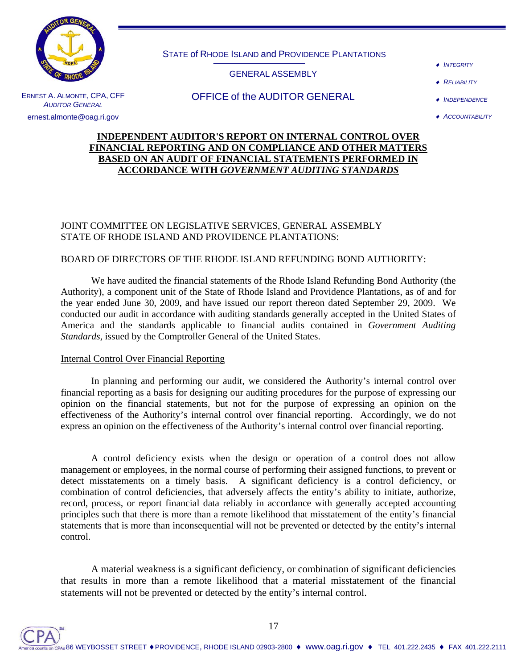

STATE of RHODE ISLAND and PROVIDENCE PLANTATIONS

## GENERAL ASSEMBLY

OFFICE of the AUDITOR GENERAL

- **INTEGRITY**
- **RELIABILITY**

♦ *INDEPENDENCE*

♦ *ACCOUNTABILITY*

# ERNEST A. ALMONTE, CPA, CFF *AUDITOR GENERAL* ernest.almonte@oag.ri.gov

## **INDEPENDENT AUDITOR'S REPORT ON INTERNAL CONTROL OVER FINANCIAL REPORTING AND ON COMPLIANCE AND OTHER MATTERS BASED ON AN AUDIT OF FINANCIAL STATEMENTS PERFORMED IN ACCORDANCE WITH** *GOVERNMENT AUDITING STANDARDS*

## JOINT COMMITTEE ON LEGISLATIVE SERVICES, GENERAL ASSEMBLY STATE OF RHODE ISLAND AND PROVIDENCE PLANTATIONS:

# BOARD OF DIRECTORS OF THE RHODE ISLAND REFUNDING BOND AUTHORITY:

We have audited the financial statements of the Rhode Island Refunding Bond Authority (the Authority), a component unit of the State of Rhode Island and Providence Plantations, as of and for the year ended June 30, 2009, and have issued our report thereon dated September 29, 2009. We conducted our audit in accordance with auditing standards generally accepted in the United States of America and the standards applicable to financial audits contained in *Government Auditing Standards*, issued by the Comptroller General of the United States.

# Internal Control Over Financial Reporting

 In planning and performing our audit, we considered the Authority's internal control over financial reporting as a basis for designing our auditing procedures for the purpose of expressing our opinion on the financial statements, but not for the purpose of expressing an opinion on the effectiveness of the Authority's internal control over financial reporting. Accordingly, we do not express an opinion on the effectiveness of the Authority's internal control over financial reporting.

A control deficiency exists when the design or operation of a control does not allow management or employees, in the normal course of performing their assigned functions, to prevent or detect misstatements on a timely basis. A significant deficiency is a control deficiency, or combination of control deficiencies, that adversely affects the entity's ability to initiate, authorize, record, process, or report financial data reliably in accordance with generally accepted accounting principles such that there is more than a remote likelihood that misstatement of the entity's financial statements that is more than inconsequential will not be prevented or detected by the entity's internal control.

A material weakness is a significant deficiency, or combination of significant deficiencies that results in more than a remote likelihood that a material misstatement of the financial statements will not be prevented or detected by the entity's internal control.